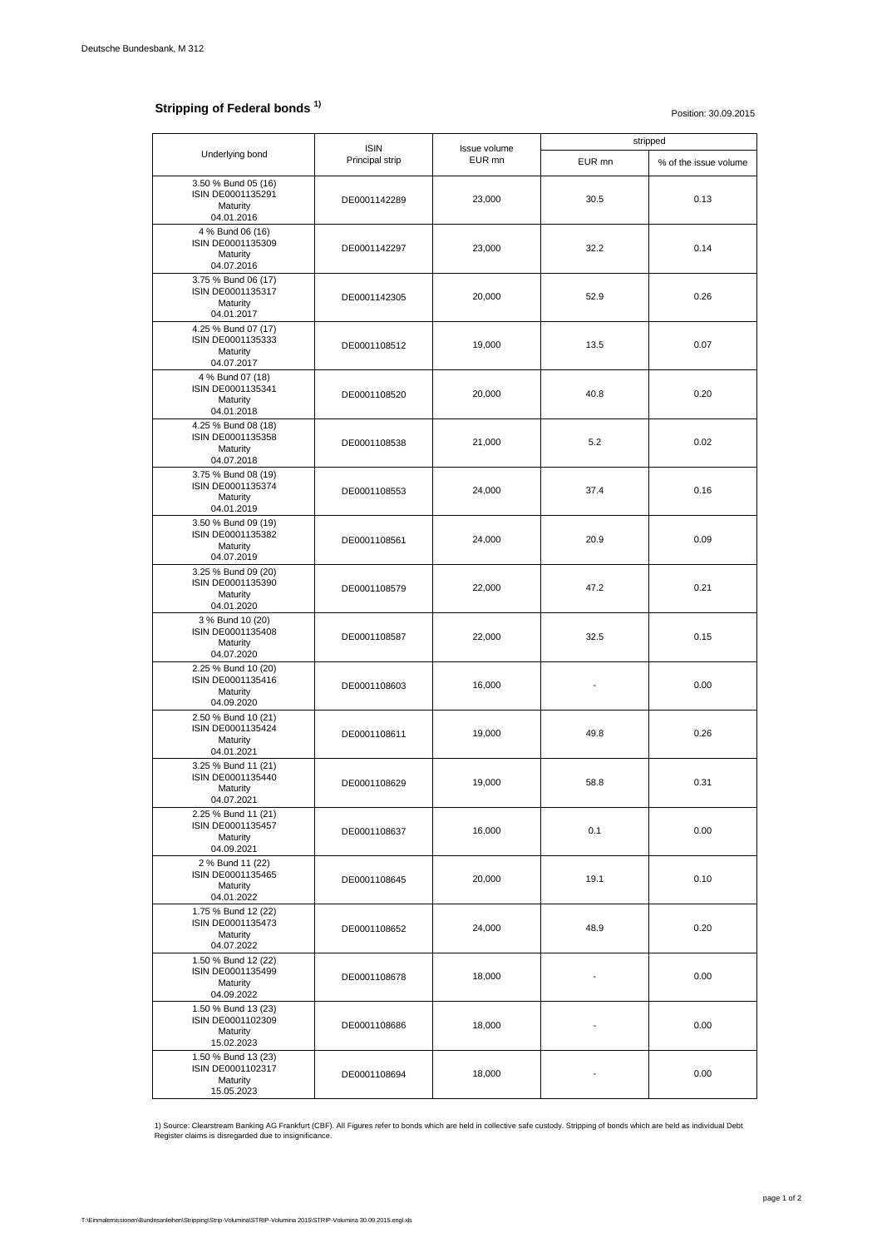## **Stripping of Federal bonds<sup>1)</sup>**

Position: 30.09.2015

| Underlying bond                                                    | <b>ISIN</b><br>Principal strip | Issue volume<br>EUR mn | stripped |                       |
|--------------------------------------------------------------------|--------------------------------|------------------------|----------|-----------------------|
|                                                                    |                                |                        | EUR mn   | % of the issue volume |
| 3.50 % Bund 05 (16)<br>ISIN DE0001135291<br>Maturity<br>04.01.2016 | DE0001142289                   | 23,000                 | 30.5     | 0.13                  |
| 4 % Bund 06 (16)<br>ISIN DE0001135309<br>Maturity<br>04.07.2016    | DE0001142297                   | 23,000                 | 32.2     | 0.14                  |
| 3.75 % Bund 06 (17)<br>ISIN DE0001135317<br>Maturity<br>04.01.2017 | DE0001142305                   | 20,000                 | 52.9     | 0.26                  |
| 4.25 % Bund 07 (17)<br>ISIN DE0001135333<br>Maturity<br>04.07.2017 | DE0001108512                   | 19,000                 | 13.5     | 0.07                  |
| 4 % Bund 07 (18)<br>ISIN DE0001135341<br>Maturity<br>04.01.2018    | DE0001108520                   | 20,000                 | 40.8     | 0.20                  |
| 4.25 % Bund 08 (18)<br>ISIN DE0001135358<br>Maturity<br>04.07.2018 | DE0001108538                   | 21,000                 | 5.2      | 0.02                  |
| 3.75 % Bund 08 (19)<br>ISIN DE0001135374<br>Maturity<br>04.01.2019 | DE0001108553                   | 24,000                 | 37.4     | 0.16                  |
| 3.50 % Bund 09 (19)<br>ISIN DE0001135382<br>Maturity<br>04.07.2019 | DE0001108561                   | 24,000                 | 20.9     | 0.09                  |
| 3.25 % Bund 09 (20)<br>ISIN DE0001135390<br>Maturity<br>04.01.2020 | DE0001108579                   | 22,000                 | 47.2     | 0.21                  |
| 3 % Bund 10 (20)<br>ISIN DE0001135408<br>Maturity<br>04.07.2020    | DE0001108587                   | 22,000                 | 32.5     | 0.15                  |
| 2.25 % Bund 10 (20)<br>ISIN DE0001135416<br>Maturity<br>04.09.2020 | DE0001108603                   | 16,000                 |          | 0.00                  |
| 2.50 % Bund 10 (21)<br>ISIN DE0001135424<br>Maturity<br>04.01.2021 | DE0001108611                   | 19,000                 | 49.8     | 0.26                  |
| 3.25 % Bund 11 (21)<br>ISIN DE0001135440<br>Maturity<br>04.07.2021 | DE0001108629                   | 19,000                 | 58.8     | 0.31                  |
| 2.25 % Bund 11 (21)<br>ISIN DE0001135457<br>Maturity<br>04.09.2021 | DE0001108637                   | 16,000                 | 0.1      | 0.00                  |
| 2 % Bund 11 (22)<br>ISIN DE0001135465<br>Maturity<br>04.01.2022    | DE0001108645                   | 20,000                 | 19.1     | 0.10                  |
| 1.75 % Bund 12 (22)<br>ISIN DE0001135473<br>Maturity<br>04.07.2022 | DE0001108652                   | 24,000                 | 48.9     | 0.20                  |
| 1.50 % Bund 12 (22)<br>ISIN DE0001135499<br>Maturity<br>04.09.2022 | DE0001108678                   | 18,000                 |          | 0.00                  |
| 1.50 % Bund 13 (23)<br>ISIN DE0001102309<br>Maturity<br>15.02.2023 | DE0001108686                   | 18,000                 |          | 0.00                  |
| 1.50 % Bund 13 (23)<br>ISIN DE0001102317<br>Maturity<br>15.05.2023 | DE0001108694                   | 18,000                 |          | 0.00                  |

1) Source: Clearstream Banking AG Frankfurt (CBF). All Figures refer to bonds which are held in collective safe custody. Stripping of bonds which are held as individual Debt<br>Register claims is disregarded due to insignific